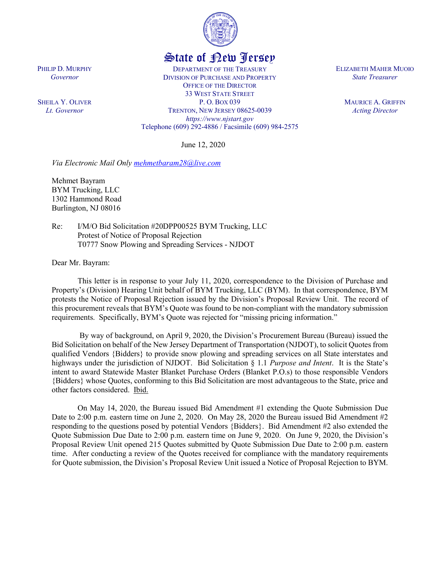

## State of New Jersey

DEPARTMENT OF THE TREASURY DIVISION OF PURCHASE AND PROPERTY OFFICE OF THE DIRECTOR 33 WEST STATE STREET P. O. BOX 039 TRENTON, NEW JERSEY 08625-0039 *https://www.njstart.gov* Telephone (609) 292-4886 / Facsimile (609) 984-2575

June 12, 2020

*Via Electronic Mail Only [mehmetbaram28@live.com](mailto:mehmetbaram28@live.com)*

Mehmet Bayram BYM Trucking, LLC 1302 Hammond Road Burlington, NJ 08016

Re: I/M/O Bid Solicitation #20DPP00525 BYM Trucking, LLC Protest of Notice of Proposal Rejection T0777 Snow Plowing and Spreading Services - NJDOT

Dear Mr. Bayram:

This letter is in response to your July 11, 2020, correspondence to the Division of Purchase and Property's (Division) Hearing Unit behalf of BYM Trucking, LLC (BYM). In that correspondence, BYM protests the Notice of Proposal Rejection issued by the Division's Proposal Review Unit. The record of this procurement reveals that BYM's Quote was found to be non-compliant with the mandatory submission requirements. Specifically, BYM's Quote was rejected for "missing pricing information."

By way of background, on April 9, 2020, the Division's Procurement Bureau (Bureau) issued the Bid Solicitation on behalf of the New Jersey Department of Transportation (NJDOT), to solicit Quotesfrom qualified Vendors {Bidders} to provide snow plowing and spreading services on all State interstates and highways under the jurisdiction of NJDOT. Bid Solicitation § 1.1 *Purpose and Intent*. It is the State's intent to award Statewide Master Blanket Purchase Orders (Blanket P.O.s) to those responsible Vendors {Bidders} whose Quotes, conforming to this Bid Solicitation are most advantageous to the State, price and other factors considered. Ibid.

On May 14, 2020, the Bureau issued Bid Amendment #1 extending the Quote Submission Due Date to 2:00 p.m. eastern time on June 2, 2020. On May 28, 2020 the Bureau issued Bid Amendment #2 responding to the questions posed by potential Vendors {Bidders}. Bid Amendment #2 also extended the Quote Submission Due Date to 2:00 p.m. eastern time on June 9, 2020. On June 9, 2020, the Division's Proposal Review Unit opened 215 Quotes submitted by Quote Submission Due Date to 2:00 p.m. eastern time. After conducting a review of the Quotes received for compliance with the mandatory requirements for Quote submission, the Division's Proposal Review Unit issued a Notice of Proposal Rejection to BYM.

ELIZABETH MAHER MUOIO *State Treasurer*

> MAURICE A. GRIFFIN *Acting Director*

## PHILIP D. MURPHY *Governor*

SHEILA Y. OLIVER *Lt. Governor*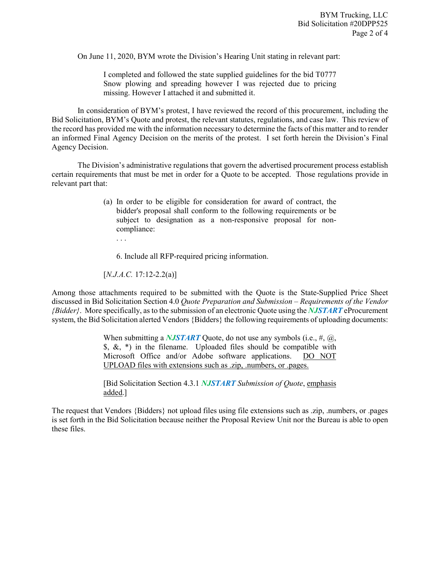On June 11, 2020, BYM wrote the Division's Hearing Unit stating in relevant part:

I completed and followed the state supplied guidelines for the bid T0777 Snow plowing and spreading however I was rejected due to pricing missing. However I attached it and submitted it.

In consideration of BYM's protest, I have reviewed the record of this procurement, including the Bid Solicitation, BYM's Quote and protest, the relevant statutes, regulations, and case law. This review of the record has provided me with the information necessary to determine the facts of this matter and to render an informed Final Agency Decision on the merits of the protest. I set forth herein the Division's Final Agency Decision.

The Division's administrative regulations that govern the advertised procurement process establish certain requirements that must be met in order for a Quote to be accepted. Those regulations provide in relevant part that:

- (a) In order to be eligible for consideration for award of contract, the bidder's proposal shall conform to the following requirements or be subject to designation as a non-responsive proposal for noncompliance:
	- . . .

6. Include all RFP-required pricing information.

[*N.J.A.C.* 17:12-2.2(a)]

Among those attachments required to be submitted with the Quote is the State-Supplied Price Sheet discussed in Bid Solicitation Section 4.0 *Quote Preparation and Submission – Requirements of the Vendor {Bidder}*. More specifically, as to the submission of an electronic Quote using the *NJSTART* eProcurement system, the Bid Solicitation alerted Vendors {Bidders} the following requirements of uploading documents:

> When submitting a **NJSTART** Quote, do not use any symbols (i.e., #, @,  $\delta$ ,  $\&$ ,  $\ast$ ) in the filename. Uploaded files should be compatible with Microsoft Office and/or Adobe software applications. DO NOT UPLOAD files with extensions such as .zip, .numbers, or .pages.

> [Bid Solicitation Section 4.3.1 *NJSTART Submission of Quote*, emphasis added.]

The request that Vendors {Bidders} not upload files using file extensions such as .zip, .numbers, or .pages is set forth in the Bid Solicitation because neither the Proposal Review Unit nor the Bureau is able to open these files.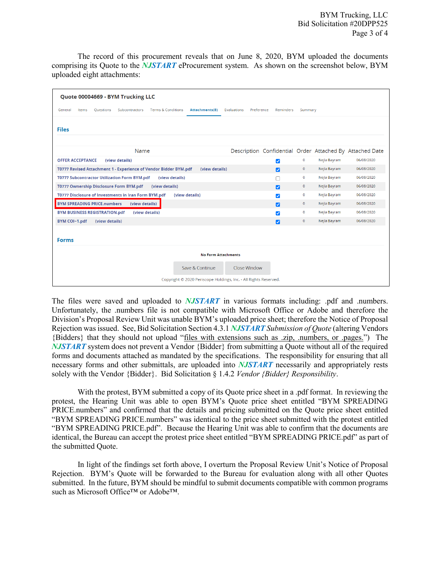The record of this procurement reveals that on June 8, 2020, BYM uploaded the documents comprising its Quote to the *NJSTART* eProcurement system. As shown on the screenshot below, BYM uploaded eight attachments:

| Quote 00004669 - BYM Trucking LLC                                                                         |                           |                         |              |              |                                                          |
|-----------------------------------------------------------------------------------------------------------|---------------------------|-------------------------|--------------|--------------|----------------------------------------------------------|
| <b>Terms &amp; Conditions</b><br>Attachments(8)<br>General<br>Items<br><b>Ouestions</b><br>Subcontractors | Preference<br>Evaluations | <b>Reminders</b>        | Summary      |              |                                                          |
| <b>Files</b>                                                                                              |                           |                         |              |              |                                                          |
| Name                                                                                                      |                           |                         |              |              | Description Confidential Order Attached By Attached Date |
| <b>OFFER ACCEPTANCE</b><br>(view details)                                                                 |                           | $\blacktriangledown$    | $\mathbf{0}$ | Nejla Bayram | 06/08/2020                                               |
| T0777 Revised Attachment 1 - Experience of Vendor Bidder BYM.pdf<br>(view details)                        |                           | Ø                       | $\circ$      | Nejla Bayram | 06/08/2020                                               |
| <b>T0777 Subcontractor Utilization Form BYM.pdf</b><br>(view details)                                     |                           | H                       | $\bullet$    | Nejla Bayram | 06/08/2020                                               |
| T0777 Ownership Disclosure Form BYM.pdf<br>(view details)                                                 |                           | Ø                       | $\circ$      | Nejla Bayram | 06/08/2020                                               |
| T0777 Disclosure of Investments in Iran Form BYM.pdf<br>(view details)                                    |                           | $\blacktriangledown$    | $\mathbf 0$  | Nejla Bayram | 06/08/2020                                               |
| <b>BYM SPREADING PRICE, numbers</b><br>(view details)                                                     |                           | $\overline{\mathbf{z}}$ | $\circ$      | Nejla Bayram | 06/08/2020                                               |
| (view details)<br><b>BYM BUSINESS REGISTRATION.pdf</b>                                                    |                           | ☑                       | $\mathbf{0}$ | Nejla Bayram | 06/08/2020                                               |
| BYM COI~1.pdf<br>(view details)                                                                           |                           | Ø                       | $\circ$      | Nejla Bayram | 06/08/2020                                               |
| <b>Forms</b>                                                                                              |                           |                         |              |              |                                                          |
| <b>No Form Attachments</b>                                                                                |                           |                         |              |              |                                                          |
| Save & Continue                                                                                           | Close Window              |                         |              |              |                                                          |
| Copyright © 2020 Periscope Holdings, Inc. - All Rights Reserved.                                          |                           |                         |              |              |                                                          |

The files were saved and uploaded to *NJSTART* in various formats including: .pdf and .numbers. Unfortunately, the .numbers file is not compatible with Microsoft Office or Adobe and therefore the Division's Proposal Review Unit was unable BYM's uploaded price sheet; therefore the Notice of Proposal Rejection was issued. See, Bid Solicitation Section 4.3.1 *NJSTART Submission of Quote* (altering Vendors {Bidders} that they should not upload "files with extensions such as .zip, .numbers, or .pages.") The *NJSTART* system does not prevent a Vendor {Bidder} from submitting a Quote without all of the required forms and documents attached as mandated by the specifications. The responsibility for ensuring that all necessary forms and other submittals, are uploaded into *NJSTART* necessarily and appropriately rests solely with the Vendor {Bidder}. Bid Solicitation § 1.4.2 *Vendor {Bidder} Responsibility*.

With the protest, BYM submitted a copy of its Quote price sheet in a .pdf format. In reviewing the protest, the Hearing Unit was able to open BYM's Quote price sheet entitled "BYM SPREADING PRICE.numbers" and confirmed that the details and pricing submitted on the Quote price sheet entitled "BYM SPREADING PRICE.numbers" was identical to the price sheet submitted with the protest entitled "BYM SPREADING PRICE.pdf". Because the Hearing Unit was able to confirm that the documents are identical, the Bureau can accept the protest price sheet entitled "BYM SPREADING PRICE.pdf" as part of the submitted Quote.

In light of the findings set forth above, I overturn the Proposal Review Unit's Notice of Proposal Rejection. BYM's Quote will be forwarded to the Bureau for evaluation along with all other Quotes submitted. In the future, BYM should be mindful to submit documents compatible with common programs such as Microsoft Office™ or Adobe™.